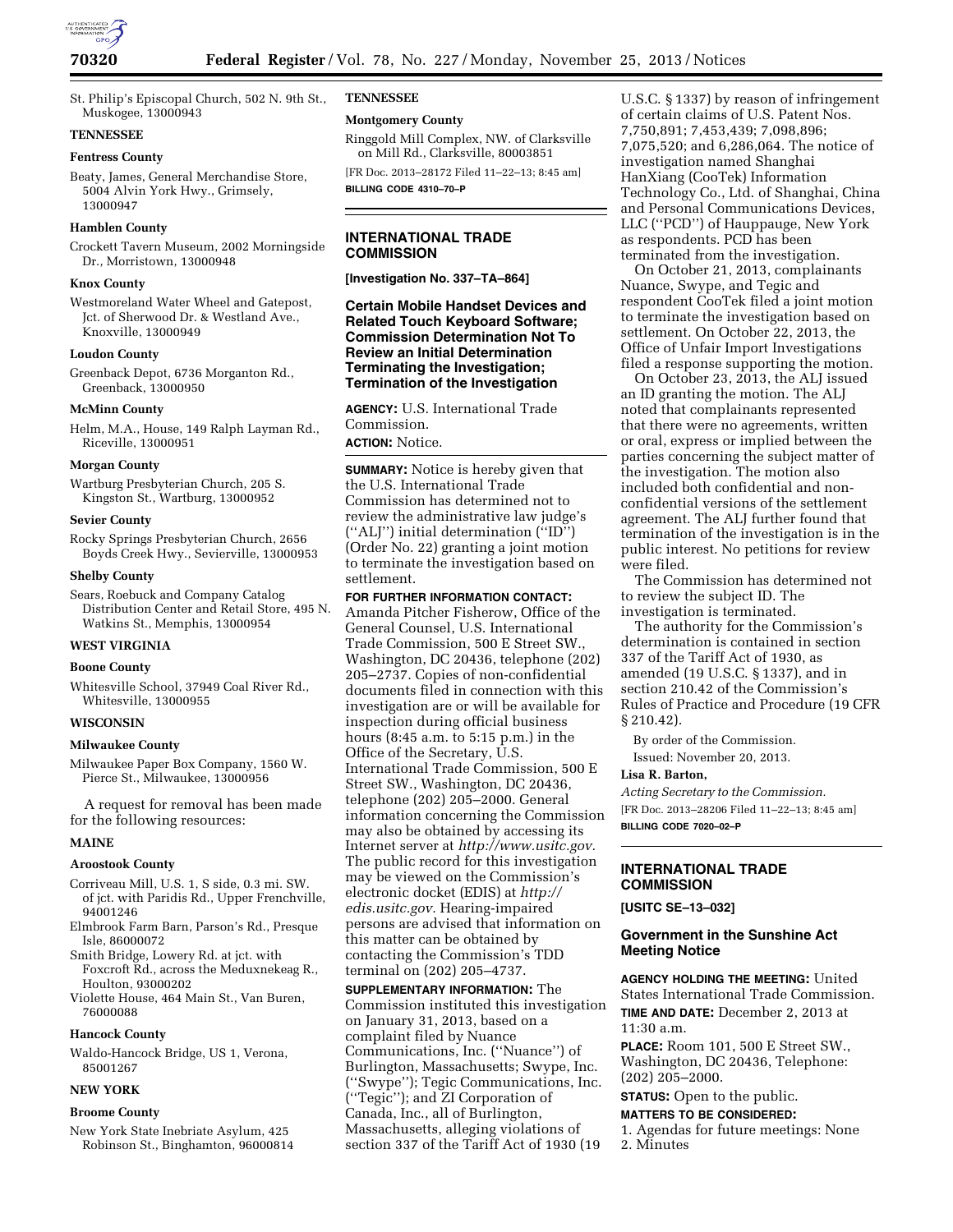

## **TENNESSEE**

### **Fentress County**

Beaty, James, General Merchandise Store, 5004 Alvin York Hwy., Grimsely, 13000947

### **Hamblen County**

Crockett Tavern Museum, 2002 Morningside Dr., Morristown, 13000948

## **Knox County**

Westmoreland Water Wheel and Gatepost, Jct. of Sherwood Dr. & Westland Ave., Knoxville, 13000949

#### **Loudon County**

Greenback Depot, 6736 Morganton Rd., Greenback, 13000950

#### **McMinn County**

Helm, M.A., House, 149 Ralph Layman Rd., Riceville, 13000951

#### **Morgan County**

Wartburg Presbyterian Church, 205 S. Kingston St., Wartburg, 13000952

#### **Sevier County**

Rocky Springs Presbyterian Church, 2656 Boyds Creek Hwy., Sevierville, 13000953

#### **Shelby County**

Sears, Roebuck and Company Catalog Distribution Center and Retail Store, 495 N. Watkins St., Memphis, 13000954

## **WEST VIRGINIA**

### **Boone County**

Whitesville School, 37949 Coal River Rd., Whitesville, 13000955

### **WISCONSIN**

#### **Milwaukee County**

Milwaukee Paper Box Company, 1560 W. Pierce St., Milwaukee, 13000956

A request for removal has been made for the following resources:

#### **MAINE**

#### **Aroostook County**

- Corriveau Mill, U.S. 1, S side, 0.3 mi. SW. of jct. with Paridis Rd., Upper Frenchville, 94001246
- Elmbrook Farm Barn, Parson's Rd., Presque Isle, 86000072
- Smith Bridge, Lowery Rd. at jct. with Foxcroft Rd., across the Meduxnekeag R., Houlton, 93000202
- Violette House, 464 Main St., Van Buren, 76000088

# **Hancock County**

Waldo-Hancock Bridge, US 1, Verona, 85001267

## **NEW YORK**

## **Broome County**

New York State Inebriate Asylum, 425 Robinson St., Binghamton, 96000814 **TENNESSEE** 

# **Montgomery County**

Ringgold Mill Complex, NW. of Clarksville on Mill Rd., Clarksville, 80003851

[FR Doc. 2013–28172 Filed 11–22–13; 8:45 am] **BILLING CODE 4310–70–P** 

## **INTERNATIONAL TRADE COMMISSION**

**[Investigation No. 337–TA–864]** 

# **Certain Mobile Handset Devices and Related Touch Keyboard Software; Commission Determination Not To Review an Initial Determination Terminating the Investigation; Termination of the Investigation**

**AGENCY:** U.S. International Trade Commission.

**ACTION:** Notice.

**SUMMARY:** Notice is hereby given that the U.S. International Trade Commission has determined not to review the administrative law judge's (''ALJ'') initial determination (''ID'') (Order No. 22) granting a joint motion to terminate the investigation based on settlement.

**FOR FURTHER INFORMATION CONTACT:**  Amanda Pitcher Fisherow, Office of the General Counsel, U.S. International Trade Commission, 500 E Street SW., Washington, DC 20436, telephone (202) 205–2737. Copies of non-confidential documents filed in connection with this investigation are or will be available for inspection during official business hours (8:45 a.m. to 5:15 p.m.) in the Office of the Secretary, U.S. International Trade Commission, 500 E Street SW., Washington, DC 20436, telephone (202) 205–2000. General information concerning the Commission may also be obtained by accessing its Internet server at *[http://www.usitc.gov.](http://www.usitc.gov)*  The public record for this investigation may be viewed on the Commission's electronic docket (EDIS) at *[http://](http://edis.usitc.gov) [edis.usitc.gov.](http://edis.usitc.gov)* Hearing-impaired persons are advised that information on this matter can be obtained by contacting the Commission's TDD terminal on (202) 205–4737.

**SUPPLEMENTARY INFORMATION:** The Commission instituted this investigation on January 31, 2013, based on a complaint filed by Nuance Communications, Inc. (''Nuance'') of Burlington, Massachusetts; Swype, Inc. (''Swype''); Tegic Communications, Inc. (''Tegic''); and ZI Corporation of Canada, Inc., all of Burlington, Massachusetts, alleging violations of section 337 of the Tariff Act of 1930 (19

U.S.C. § 1337) by reason of infringement of certain claims of U.S. Patent Nos. 7,750,891; 7,453,439; 7,098,896; 7,075,520; and 6,286,064. The notice of investigation named Shanghai HanXiang (CooTek) Information Technology Co., Ltd. of Shanghai, China and Personal Communications Devices, LLC (''PCD'') of Hauppauge, New York as respondents. PCD has been terminated from the investigation.

On October 21, 2013, complainants Nuance, Swype, and Tegic and respondent CooTek filed a joint motion to terminate the investigation based on settlement. On October 22, 2013, the Office of Unfair Import Investigations filed a response supporting the motion.

On October 23, 2013, the ALJ issued an ID granting the motion. The ALJ noted that complainants represented that there were no agreements, written or oral, express or implied between the parties concerning the subject matter of the investigation. The motion also included both confidential and nonconfidential versions of the settlement agreement. The ALJ further found that termination of the investigation is in the public interest. No petitions for review were filed.

The Commission has determined not to review the subject ID. The investigation is terminated.

The authority for the Commission's determination is contained in section 337 of the Tariff Act of 1930, as amended (19 U.S.C. § 1337), and in section 210.42 of the Commission's Rules of Practice and Procedure (19 CFR § 210.42).

By order of the Commission. Issued: November 20, 2013.

#### **Lisa R. Barton,**

*Acting Secretary to the Commission.*  [FR Doc. 2013–28206 Filed 11–22–13; 8:45 am] **BILLING CODE 7020–02–P** 

## **INTERNATIONAL TRADE COMMISSION**

## **[USITC SE–13–032]**

## **Government in the Sunshine Act Meeting Notice**

**AGENCY HOLDING THE MEETING:** United States International Trade Commission. **TIME AND DATE:** December 2, 2013 at 11:30 a.m.

**PLACE:** Room 101, 500 E Street SW., Washington, DC 20436, Telephone: (202) 205–2000.

**STATUS:** Open to the public.

# **MATTERS TO BE CONSIDERED:**

1. Agendas for future meetings: None 2. Minutes